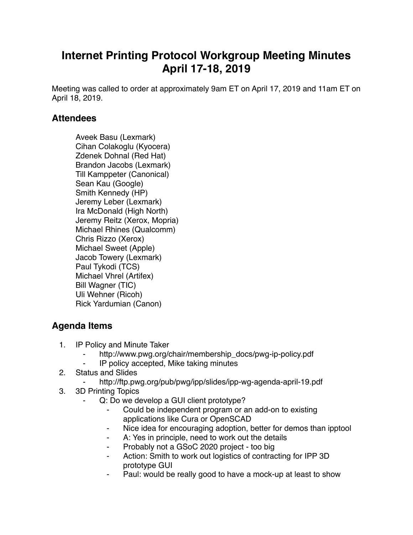## **Internet Printing Protocol Workgroup Meeting Minutes April 17-18, 2019**

Meeting was called to order at approximately 9am ET on April 17, 2019 and 11am ET on April 18, 2019.

## **Attendees**

Aveek Basu (Lexmark) Cihan Colakoglu (Kyocera) Zdenek Dohnal (Red Hat) Brandon Jacobs (Lexmark) Till Kamppeter (Canonical) Sean Kau (Google) Smith Kennedy (HP) Jeremy Leber (Lexmark) Ira McDonald (High North) Jeremy Reitz (Xerox, Mopria) Michael Rhines (Qualcomm) Chris Rizzo (Xerox) Michael Sweet (Apple) Jacob Towery (Lexmark) Paul Tykodi (TCS) Michael Vhrel (Artifex) Bill Wagner (TIC) Uli Wehner (Ricoh) Rick Yardumian (Canon)

## **Agenda Items**

- 1. IP Policy and Minute Taker
	- http://www.pwg.org/chair/membership\_docs/pwg-ip-policy.pdf
	- ⁃ IP policy accepted, Mike taking minutes
- 2. Status and Slides
	- http://ftp.pwg.org/pub/pwg/ipp/slides/ipp-wg-agenda-april-19.pdf
- 3. 3D Printing Topics
	- Q: Do we develop a GUI client prototype?
		- Could be independent program or an add-on to existing applications like Cura or OpenSCAD
		- ⁃ Nice idea for encouraging adoption, better for demos than ipptool
		- ⁃ A: Yes in principle, need to work out the details
		- ⁃ Probably not a GSoC 2020 project too big
		- Action: Smith to work out logistics of contracting for IPP 3D prototype GUI
		- Paul: would be really good to have a mock-up at least to show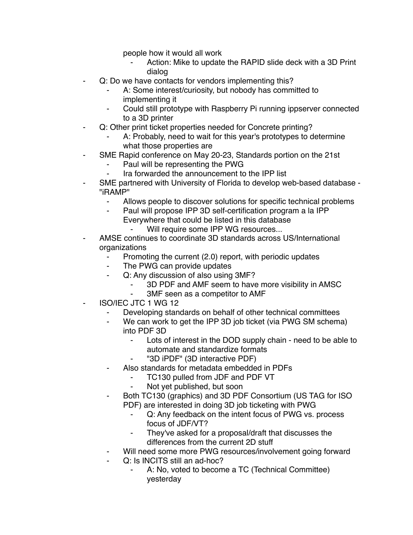people how it would all work

- Action: Mike to update the RAPID slide deck with a 3D Print dialog
- Q: Do we have contacts for vendors implementing this?
	- A: Some interest/curiosity, but nobody has committed to implementing it
	- ⁃ Could still prototype with Raspberry Pi running ippserver connected to a 3D printer
- ⁃ Q: Other print ticket properties needed for Concrete printing?
	- A: Probably, need to wait for this year's prototypes to determine what those properties are
- SME Rapid conference on May 20-23, Standards portion on the 21st
	- Paul will be representing the PWG
	- Ira forwarded the announcement to the IPP list
- SME partnered with University of Florida to develop web-based database -"iRAMP"
	- ⁃ Allows people to discover solutions for specific technical problems
	- ⁃ Paul will propose IPP 3D self-certification program a la IPP Everywhere that could be listed in this database
		- Will require some IPP WG resources...
- AMSE continues to coordinate 3D standards across US/International organizations
	- Promoting the current (2.0) report, with periodic updates
	- ⁃ The PWG can provide updates
	- ⁃ Q: Any discussion of also using 3MF?
		- 3D PDF and AMF seem to have more visibility in AMSC
		- 3MF seen as a competitor to AMF
- ⁃ ISO/IEC JTC 1 WG 12
	- Developing standards on behalf of other technical committees
	- We can work to get the IPP 3D job ticket (via PWG SM schema) into PDF 3D
		- ⁃ Lots of interest in the DOD supply chain need to be able to automate and standardize formats
		- ⁃ "3D iPDF" (3D interactive PDF)
	- ⁃ Also standards for metadata embedded in PDFs
		- TC130 pulled from JDF and PDF VT
		- ⁃ Not yet published, but soon
	- Both TC130 (graphics) and 3D PDF Consortium (US TAG for ISO PDF) are interested in doing 3D job ticketing with PWG
		- Q: Any feedback on the intent focus of PWG vs. process focus of JDF/VT?
		- ⁃ They've asked for a proposal/draft that discusses the differences from the current 2D stuff
	- Will need some more PWG resources/involvement going forward
	- Q: Is INCITS still an ad-hoc?
		- A: No, voted to become a TC (Technical Committee) yesterday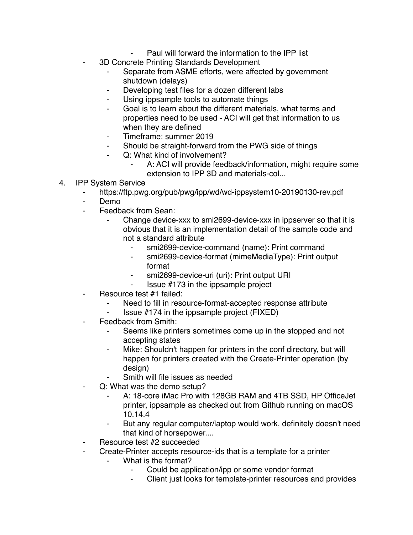- Paul will forward the information to the IPP list
- ⁃ 3D Concrete Printing Standards Development
	- Separate from ASME efforts, were affected by government shutdown (delays)
	- ⁃ Developing test files for a dozen different labs
	- Using ippsample tools to automate things
	- ⁃ Goal is to learn about the different materials, what terms and properties need to be used - ACI will get that information to us when they are defined
	- ⁃ Timeframe: summer 2019
	- Should be straight-forward from the PWG side of things
	- ⁃ Q: What kind of involvement?
		- A: ACI will provide feedback/information, might require some extension to IPP 3D and materials-col...
- 4. IPP System Service
	- https://ftp.pwg.org/pub/pwg/ipp/wd/wd-ippsystem10-20190130-rev.pdf
	- ⁃ Demo
		- Feedback from Sean:
			- Change device-xxx to smi2699-device-xxx in ippserver so that it is obvious that it is an implementation detail of the sample code and not a standard attribute
				- ⁃ smi2699-device-command (name): Print command
				- smi2699-device-format (mimeMediaType): Print output format
				- ⁃ smi2699-device-uri (uri): Print output URI
				- ⁃ Issue #173 in the ippsample project
	- Resource test #1 failed:
		- Need to fill in resource-format-accepted response attribute
		- Issue  $#174$  in the ippsample project (FIXED)
	- Feedback from Smith:
		- Seems like printers sometimes come up in the stopped and not accepting states
		- Mike: Shouldn't happen for printers in the conf directory, but will happen for printers created with the Create-Printer operation (by design)
		- Smith will file issues as needed
	- Q: What was the demo setup?
		- A: 18-core iMac Pro with 128GB RAM and 4TB SSD, HP OfficeJet printer, ippsample as checked out from Github running on macOS 10.14.4
		- But any regular computer/laptop would work, definitely doesn't need that kind of horsepower....
	- Resource test #2 succeeded
	- Create-Printer accepts resource-ids that is a template for a printer
		- What is the format?
			- Could be application/ipp or some vendor format
			- Client just looks for template-printer resources and provides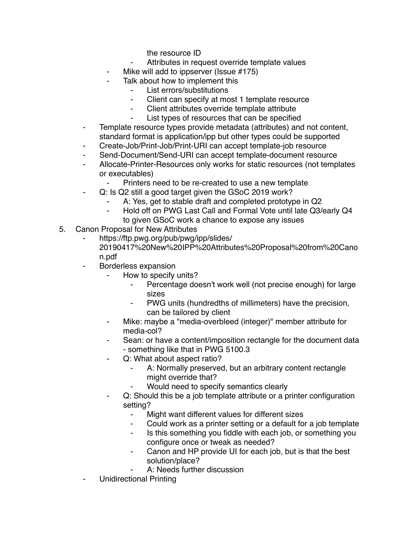the resource ID

- Attributes in request override template values
- Mike will add to ippserver (Issue #175)
- ⁃ Talk about how to implement this
	- ⁃ List errors/substitutions
	- Client can specify at most 1 template resource
	- ⁃ Client attributes override template attribute
	- List types of resources that can be specified
- ⁃ Template resource types provide metadata (attributes) and not content, standard format is application/ipp but other types could be supported
- ⁃ Create-Job/Print-Job/Print-URI can accept template-job resource
- ⁃ Send-Document/Send-URI can accept template-document resource
- Allocate-Printer-Resources only works for static resources (not templates or executables)
	- Printers need to be re-created to use a new template
- Q: Is Q2 still a good target given the GSoC 2019 work?
	- A: Yes, get to stable draft and completed prototype in Q2
	- ⁃ Hold off on PWG Last Call and Formal Vote until late Q3/early Q4 to given GSoC work a chance to expose any issues
- 5. Canon Proposal for New Attributes
	- https://ftp.pwg.org/pub/pwg/ipp/slides/ 20190417%20New%20IPP%20Attributes%20Proposal%20from%20Cano n.pdf
	- ⁃ Borderless expansion
		- How to specify units?
			- Percentage doesn't work well (not precise enough) for large sizes
			- PWG units (hundredths of millimeters) have the precision, can be tailored by client
		- ⁃ Mike: maybe a "media-overbleed (integer)" member attribute for media-col?
		- Sean: or have a content/imposition rectangle for the document data - something like that in PWG 5100.3
		- Q: What about aspect ratio?
			- A: Normally preserved, but an arbitrary content rectangle might override that?
			- Would need to specify semantics clearly
		- Q: Should this be a job template attribute or a printer configuration setting?
			- ⁃ Might want different values for different sizes
			- ⁃ Could work as a printer setting or a default for a job template
			- ⁃ Is this something you fiddle with each job, or something you configure once or tweak as needed?
			- Canon and HP provide UI for each job, but is that the best solution/place?
				- A: Needs further discussion
	- Unidirectional Printing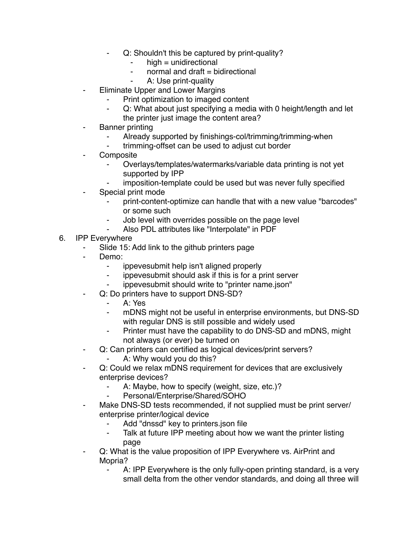- Q: Shouldn't this be captured by print-quality?
	- ⁃ high = unidirectional
	- normal and draft  $=$  bidirectional
	- A: Use print-quality
- **Eliminate Upper and Lower Margins** 
	- Print optimization to imaged content
	- ⁃ Q: What about just specifying a media with 0 height/length and let the printer just image the content area?
- Banner printing
	- Already supported by finishings-col/trimming/trimming-when
	- trimming-offset can be used to adjust cut border
- **Composite** 
	- ⁃ Overlays/templates/watermarks/variable data printing is not yet supported by IPP
	- imposition-template could be used but was never fully specified
- Special print mode
	- print-content-optimize can handle that with a new value "barcodes" or some such
	- Job level with overrides possible on the page level
	- Also PDL attributes like "Interpolate" in PDF
- 6. IPP Everywhere
	- ⁃ Slide 15: Add link to the github printers page
	- Demo:
		- ⁃ ippevesubmit help isn't aligned properly
		- ⁃ ippevesubmit should ask if this is for a print server
		- ippevesubmit should write to "printer name.json"
	- Q: Do printers have to support DNS-SD?
		- A: Yes
		- mDNS might not be useful in enterprise environments, but DNS-SD with regular DNS is still possible and widely used
		- ⁃ Printer must have the capability to do DNS-SD and mDNS, might not always (or ever) be turned on
	- Q: Can printers can certified as logical devices/print servers?
		- ⁃ A: Why would you do this?
	- ⁃ Q: Could we relax mDNS requirement for devices that are exclusively enterprise devices?
		- A: Maybe, how to specify (weight, size, etc.)?
		- ⁃ Personal/Enterprise/Shared/SOHO
	- Make DNS-SD tests recommended, if not supplied must be print server/ enterprise printer/logical device
		- Add "dnssd" key to printers.json file
		- ⁃ Talk at future IPP meeting about how we want the printer listing page
	- Q: What is the value proposition of IPP Everywhere vs. AirPrint and Mopria?
		- A: IPP Everywhere is the only fully-open printing standard, is a very small delta from the other vendor standards, and doing all three will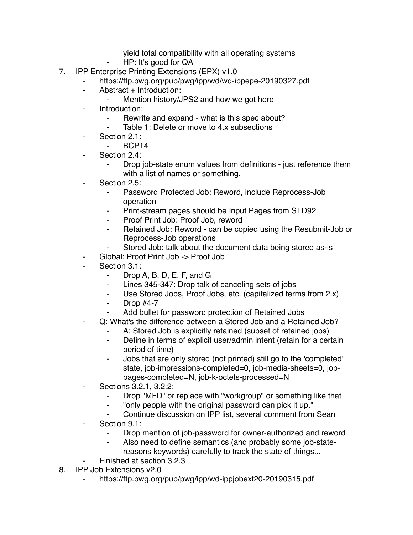- yield total compatibility with all operating systems
- HP: It's good for QA
- 7. IPP Enterprise Printing Extensions (EPX) v1.0
	- ⁃ https://ftp.pwg.org/pub/pwg/ipp/wd/wd-ippepe-20190327.pdf
	- ⁃ Abstract + Introduction:
		- Mention history/JPS2 and how we got here
	- ⁃ Introduction:
		- Rewrite and expand what is this spec about?
		- Table 1: Delete or move to 4.x subsections
	- ⁃ Section 2.1:
		- BCP<sub>14</sub>
	- Section 2.4:
		- Drop job-state enum values from definitions just reference them with a list of names or something.
	- ⁃ Section 2.5:
		- Password Protected Job: Reword, include Reprocess-Job operation
		- Print-stream pages should be Input Pages from STD92
		- Proof Print Job: Proof Job, reword
		- ⁃ Retained Job: Reword can be copied using the Resubmit-Job or Reprocess-Job operations
		- Stored Job: talk about the document data being stored as-is
	- Global: Proof Print Job -> Proof Job
	- Section 3.1:
		- ⁃ Drop A, B, D, E, F, and G
		- ⁃ Lines 345-347: Drop talk of canceling sets of jobs
		- ⁃ Use Stored Jobs, Proof Jobs, etc. (capitalized terms from 2.x)
		- Drop  $#4-7$
		- Add bullet for password protection of Retained Jobs
		- Q: What's the difference between a Stored Job and a Retained Job?
			- A: Stored Job is explicitly retained (subset of retained jobs)
			- ⁃ Define in terms of explicit user/admin intent (retain for a certain period of time)
			- ⁃ Jobs that are only stored (not printed) still go to the 'completed' state, job-impressions-completed=0, job-media-sheets=0, jobpages-completed=N, job-k-octets-processed=N
	- Sections 3.2.1, 3.2.2:
		- ⁃ Drop "MFD" or replace with "workgroup" or something like that
		- "only people with the original password can pick it up."
		- Continue discussion on IPP list, several comment from Sean
	- Section 9.1:
		- ⁃ Drop mention of job-password for owner-authorized and reword
			- Also need to define semantics (and probably some job-statereasons keywords) carefully to track the state of things...
	- ⁃ Finished at section 3.2.3
- 8. IPP Job Extensions v2.0
	- https://ftp.pwg.org/pub/pwg/ipp/wd-ippjobext20-20190315.pdf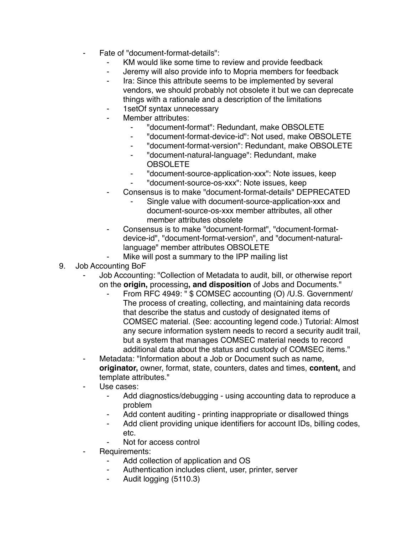- Fate of "document-format-details":
	- ⁃ KM would like some time to review and provide feedback
	- Jeremy will also provide info to Mopria members for feedback
	- ⁃ Ira: Since this attribute seems to be implemented by several vendors, we should probably not obsolete it but we can deprecate things with a rationale and a description of the limitations
	- 1setOf syntax unnecessary
	- Member attributes:
		- ⁃ "document-format": Redundant, make OBSOLETE
		- ⁃ "document-format-device-id": Not used, make OBSOLETE
		- ⁃ "document-format-version": Redundant, make OBSOLETE
		- ⁃ "document-natural-language": Redundant, make **OBSOLETE**
		- ⁃ "document-source-application-xxx": Note issues, keep
		- ⁃ "document-source-os-xxx": Note issues, keep
	- Consensus is to make "document-format-details" DEPRECATED
		- Single value with document-source-application-xxx and document-source-os-xxx member attributes, all other member attributes obsolete
	- ⁃ Consensus is to make "document-format", "document-formatdevice-id", "document-format-version", and "document-naturallanguage" member attributes OBSOLETE
		- Mike will post a summary to the IPP mailing list
- 9. Job Accounting BoF
	- Job Accounting: "Collection of Metadata to audit, bill, or otherwise report on the **origin,** processing**, and disposition** of Jobs and Documents."
		- From RFC 4949: " \$ COMSEC accounting (O) /U.S. Government/ The process of creating, collecting, and maintaining data records that describe the status and custody of designated items of COMSEC material. (See: accounting legend code.) Tutorial: Almost any secure information system needs to record a security audit trail, but a system that manages COMSEC material needs to record additional data about the status and custody of COMSEC items."
	- Metadata: "Information about a Job or Document such as name, **originator,** owner, format, state, counters, dates and times, **content,** and template attributes."
	- Use cases:
		- ⁃ Add diagnostics/debugging using accounting data to reproduce a problem
		- Add content auditing printing inappropriate or disallowed things
		- ⁃ Add client providing unique identifiers for account IDs, billing codes, etc.
		- Not for access control
	- Requirements:
		- Add collection of application and OS
		- ⁃ Authentication includes client, user, printer, server
		- Audit logging (5110.3)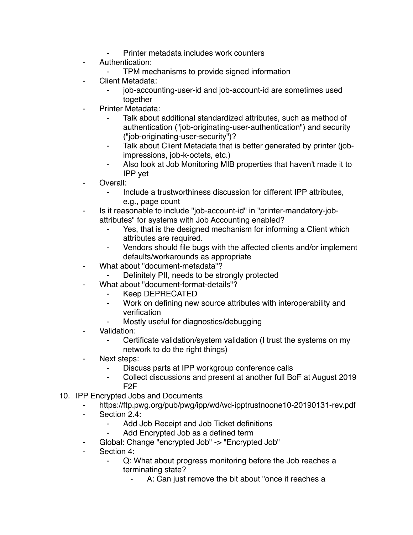- Printer metadata includes work counters
- Authentication:
	- TPM mechanisms to provide signed information
- Client Metadata:
	- job-accounting-user-id and job-account-id are sometimes used together
- Printer Metadata:
	- Talk about additional standardized attributes, such as method of authentication ("job-originating-user-authentication") and security ("job-originating-user-security")?
	- Talk about Client Metadata that is better generated by printer (jobimpressions, job-k-octets, etc.)
	- Also look at Job Monitoring MIB properties that haven't made it to IPP yet
- ⁃ Overall:
	- Include a trustworthiness discussion for different IPP attributes, e.g., page count
- Is it reasonable to include "job-account-id" in "printer-mandatory-jobattributes" for systems with Job Accounting enabled?
	- ⁃ Yes, that is the designed mechanism for informing a Client which attributes are required.
	- ⁃ Vendors should file bugs with the affected clients and/or implement defaults/workarounds as appropriate
- ⁃ What about "document-metadata"?
	- ⁃ Definitely PII, needs to be strongly protected
- What about "document-format-details"?
	- ⁃ Keep DEPRECATED
	- Work on defining new source attributes with interoperability and verification
	- Mostly useful for diagnostics/debugging
- Validation:
	- ⁃ Certificate validation/system validation (I trust the systems on my network to do the right things)
- Next steps:
	- ⁃ Discuss parts at IPP workgroup conference calls
	- Collect discussions and present at another full BoF at August 2019 F2F
- 10. IPP Encrypted Jobs and Documents
	- https://ftp.pwg.org/pub/pwg/ipp/wd/wd-ipptrustnoone10-20190131-rev.pdf
	- Section 2.4:
		- Add Job Receipt and Job Ticket definitions
		- Add Encrypted Job as a defined term
	- ⁃ Global: Change "encrypted Job" -> "Encrypted Job"
	- Section 4:
		- Q: What about progress monitoring before the Job reaches a terminating state?
			- A: Can just remove the bit about "once it reaches a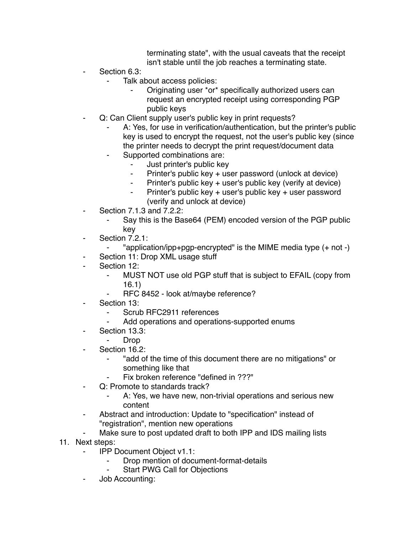terminating state", with the usual caveats that the receipt isn't stable until the job reaches a terminating state.

- Section 6.3:
	- Talk about access policies:
		- Originating user \*or\* specifically authorized users can request an encrypted receipt using corresponding PGP public keys
- Q: Can Client supply user's public key in print requests?
	- A: Yes, for use in verification/authentication, but the printer's public key is used to encrypt the request, not the user's public key (since the printer needs to decrypt the print request/document data
	- Supported combinations are:
		- ⁃ Just printer's public key
		- Printer's public key + user password (unlock at device)
		- ⁃ Printer's public key + user's public key (verify at device)
		- Printer's public key + user's public key + user password (verify and unlock at device)
- ⁃ Section 7.1.3 and 7.2.2:
	- Say this is the Base64 (PEM) encoded version of the PGP public key
- ⁃ Section 7.2.1:
	- ⁃ "application/ipp+pgp-encrypted" is the MIME media type (+ not -)
- Section 11: Drop XML usage stuff
- Section 12:
	- ⁃ MUST NOT use old PGP stuff that is subject to EFAIL (copy from 16.1)
		- RFC 8452 look at/maybe reference?
- Section 13:
	- Scrub RFC2911 references
	- Add operations and operations-supported enums
- Section 13.3:
	- ⁃ Drop
- Section 16.2:
	- ⁃ "add of the time of this document there are no mitigations" or something like that
		- Fix broken reference "defined in ???"
- ⁃ Q: Promote to standards track?
	- A: Yes, we have new, non-trivial operations and serious new content
- ⁃ Abstract and introduction: Update to "specification" instead of "registration", mention new operations
- Make sure to post updated draft to both IPP and IDS mailing lists
- 11. Next steps:
	- ⁃ IPP Document Object v1.1:
		- Drop mention of document-format-details
		- **Start PWG Call for Objections**
	- **Job Accounting:**